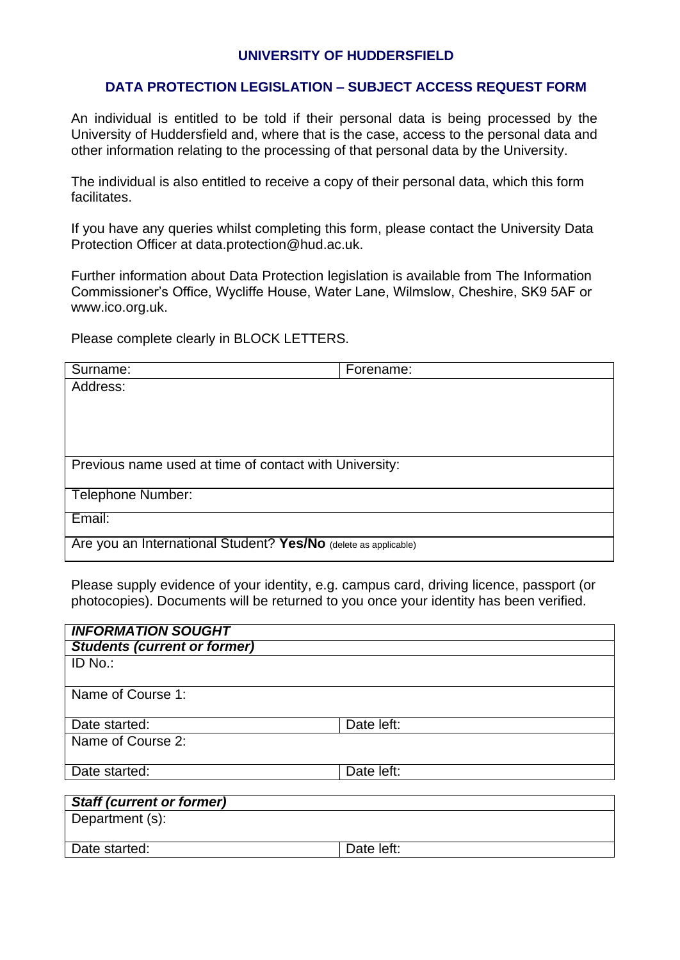## **UNIVERSITY OF HUDDERSFIELD**

## **DATA PROTECTION LEGISLATION – SUBJECT ACCESS REQUEST FORM**

An individual is entitled to be told if their personal data is being processed by the University of Huddersfield and, where that is the case, access to the personal data and other information relating to the processing of that personal data by the University.

The individual is also entitled to receive a copy of their personal data, which this form facilitates.

If you have any queries whilst completing this form, please contact the University Data Protection Officer at [data.protection@hud.ac.uk.](mailto:data.protection@hud.ac.uk)

Further information about Data Protection legislation is available from The Information Commissioner's Office, Wycliffe House, Water Lane, Wilmslow, Cheshire, SK9 5AF or [www.ico.org.uk.](http://www.ico.org.uk/)

Please complete clearly in BLOCK LETTERS.

| Surname:                                                        | Forename: |  |  |
|-----------------------------------------------------------------|-----------|--|--|
| Address:                                                        |           |  |  |
|                                                                 |           |  |  |
|                                                                 |           |  |  |
|                                                                 |           |  |  |
|                                                                 |           |  |  |
| Previous name used at time of contact with University:          |           |  |  |
| <b>Telephone Number:</b>                                        |           |  |  |
| Email:                                                          |           |  |  |
| Are you an International Student? Yes/No (delete as applicable) |           |  |  |

Please supply evidence of your identity, e.g. campus card, driving licence, passport (or photocopies). Documents will be returned to you once your identity has been verified.

| <b>INFORMATION SOUGHT</b>           |            |
|-------------------------------------|------------|
| <b>Students (current or former)</b> |            |
| ID No.:                             |            |
| Name of Course 1:                   |            |
| Date started:                       | Date left: |
| Name of Course 2:                   |            |
| Date started:                       | Date left: |
| <b>Staff (current or former)</b>    |            |
| Department (s):                     |            |
| Date started:                       | Date left: |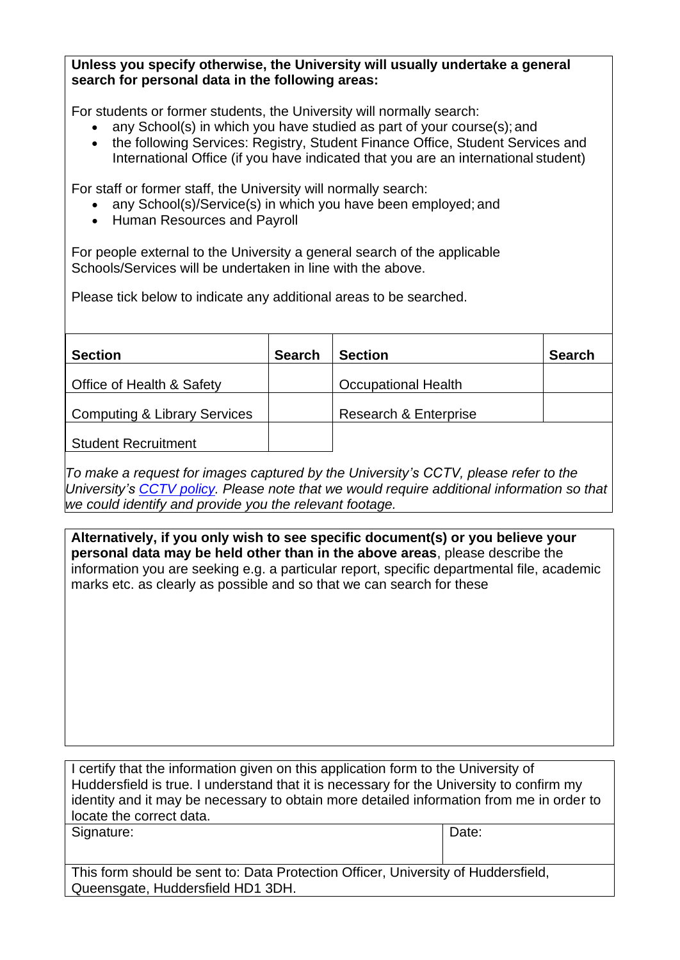## **Unless you specify otherwise, the University will usually undertake a general search for personal data in the following areas:**

For students or former students, the University will normally search:

- any School(s) in which you have studied as part of your course(s); and
- the following Services: Registry, Student Finance Office, Student Services and International Office (if you have indicated that you are an international student)

For staff or former staff, the University will normally search:

- any School(s)/Service(s) in which you have been employed; and
- Human Resources and Payroll

For people external to the University a general search of the applicable Schools/Services will be undertaken in line with the above.

Please tick below to indicate any additional areas to be searched.

| <b>Section</b>               | <b>Search</b> | <b>Section</b>             | <b>Search</b> |  |
|------------------------------|---------------|----------------------------|---------------|--|
| Office of Health & Safety    |               | <b>Occupational Health</b> |               |  |
|                              |               |                            |               |  |
| Computing & Library Services |               | Research & Enterprise      |               |  |
|                              |               |                            |               |  |
| <b>Student Recruitment</b>   |               |                            |               |  |

*To make a request for images captured by the University's CCTV, please refer to the University's [CCTV policy.](https://www.hud.ac.uk/media/policydocuments/CCTV-Policy.pdf) Please note that we would require additional information so that we could identify and provide you the relevant footage.*

**Alternatively, if you only wish to see specific document(s) or you believe your personal data may be held other than in the above areas**, please describe the information you are seeking e.g. a particular report, specific departmental file, academic marks etc. as clearly as possible and so that we can search for these

I certify that the information given on this application form to the University of Huddersfield is true. I understand that it is necessary for the University to confirm my identity and it may be necessary to obtain more detailed information from me in order to locate the correct data.

Signature: Date:

This form should be sent to: Data Protection Officer, University of Huddersfield, Queensgate, Huddersfield HD1 3DH.